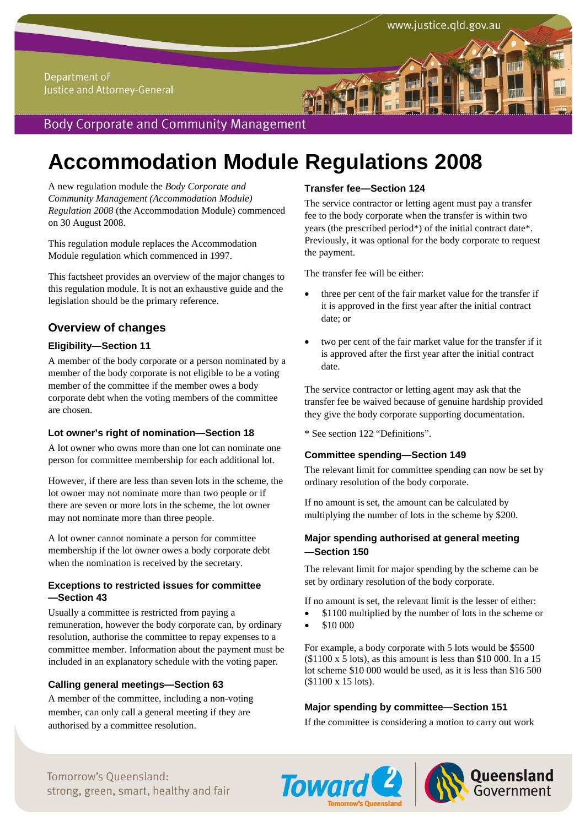# **Accommodation Module Regulations 2008**

A new regulation module the *Body Corporate and Community Management (Accommodation Module) Regulation 2008* (the Accommodation Module) commenced on 30 August 2008.

This regulation module replaces the Accommodation Module regulation which commenced in 1997.

This factsheet provides an overview of the major changes to this regulation module. It is not an exhaustive guide and the legislation should be the primary reference.

## **Overview of changes**

## **Eligibility—Section 11**

A member of the body corporate or a person nominated by a member of the body corporate is not eligible to be a voting member of the committee if the member owes a body corporate debt when the voting members of the committee are chosen.

#### **Lot owner's right of nomination—Section 18**

A lot owner who owns more than one lot can nominate one person for committee membership for each additional lot.

However, if there are less than seven lots in the scheme, the lot owner may not nominate more than two people or if there are seven or more lots in the scheme, the lot owner may not nominate more than three people.

A lot owner cannot nominate a person for committee membership if the lot owner owes a body corporate debt when the nomination is received by the secretary.

#### **Exceptions to restricted issues for committee —Section 43**

Usually a committee is restricted from paying a remuneration, however the body corporate can, by ordinary resolution, authorise the committee to repay expenses to a committee member. Information about the payment must be included in an explanatory schedule with the voting paper.

## **Calling general meetings—Section 63**

A member of the committee, including a non-voting member, can only call a general meeting if they are authorised by a committee resolution.

## **Transfer fee—Section 124**

The service contractor or letting agent must pay a transfer fee to the body corporate when the transfer is within two years (the prescribed period\*) of the initial contract date\*. Previously, it was optional for the body corporate to request the payment.

www.justice.qld.gov.au

The transfer fee will be either:

- three per cent of the fair market value for the transfer if it is approved in the first year after the initial contract date; or
- two per cent of the fair market value for the transfer if it is approved after the first year after the initial contract date.

The service contractor or letting agent may ask that the transfer fee be waived because of genuine hardship provided they give the body corporate supporting documentation.

\* See section 122 "Definitions".

## **Committee spending—Section 149**

The relevant limit for committee spending can now be set by ordinary resolution of the body corporate.

If no amount is set, the amount can be calculated by multiplying the number of lots in the scheme by \$200.

## **Major spending authorised at general meeting —Section 150**

The relevant limit for major spending by the scheme can be set by ordinary resolution of the body corporate.

If no amount is set, the relevant limit is the lesser of either:

- \$1100 multiplied by the number of lots in the scheme or
- \$10 000

For example, a body corporate with 5 lots would be \$5500  $($1100 \times 5 \text{ lots})$ , as this amount is less than \$10 000. In a 15 lot scheme \$10 000 would be used, as it is less than \$16 500 (\$1100 x 15 lots).

#### **Major spending by committee—Section 151**

If the committee is considering a motion to carry out work

Tomorrow's Queensland: strong, green, smart, healthy and fair **Accommodation Module Regulation Covernmen**